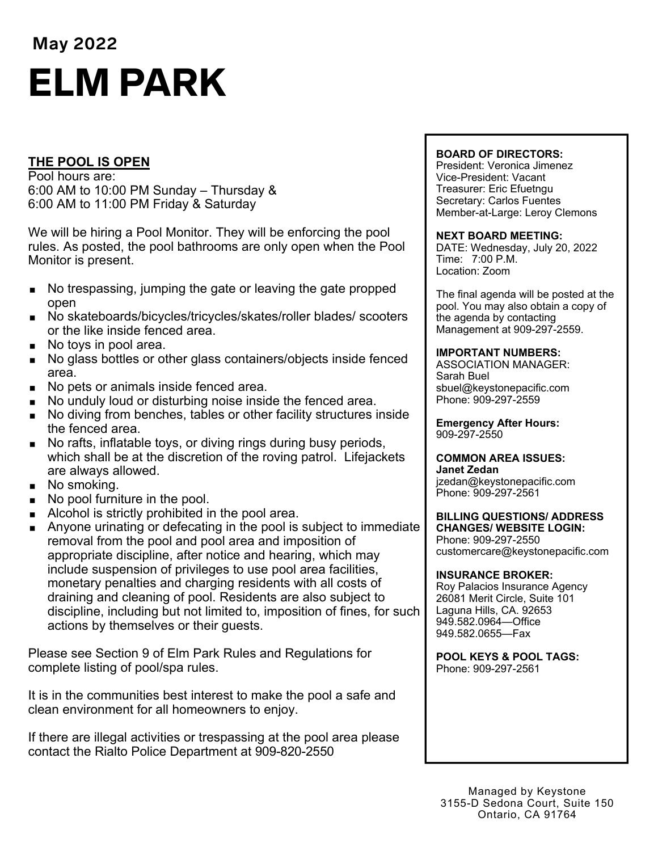# **May 2022**  ELM PARK

# **THE POOL IS OPEN**

Pool hours are: 6:00 AM to 10:00 PM Sunday – Thursday & 6:00 AM to 11:00 PM Friday & Saturday

We will be hiring a Pool Monitor. They will be enforcing the pool rules. As posted, the pool bathrooms are only open when the Pool Monitor is present.

- No trespassing, jumping the gate or leaving the gate propped open
- No skateboards/bicycles/tricycles/skates/roller blades/ scooters or the like inside fenced area.
- No toys in pool area.
- No glass bottles or other glass containers/objects inside fenced area.
- No pets or animals inside fenced area.
- No unduly loud or disturbing noise inside the fenced area.
- No diving from benches, tables or other facility structures inside the fenced area.
- No rafts, inflatable toys, or diving rings during busy periods, which shall be at the discretion of the roving patrol. Lifejackets are always allowed.
- No smoking.
- No pool furniture in the pool.
- Alcohol is strictly prohibited in the pool area.
- **Anyone urinating or defecating in the pool is subject to immediate** removal from the pool and pool area and imposition of appropriate discipline, after notice and hearing, which may include suspension of privileges to use pool area facilities, monetary penalties and charging residents with all costs of draining and cleaning of pool. Residents are also subject to discipline, including but not limited to, imposition of fines, for such actions by themselves or their guests.

Please see Section 9 of Elm Park Rules and Regulations for complete listing of pool/spa rules.

It is in the communities best interest to make the pool a safe and clean environment for all homeowners to enjoy.

If there are illegal activities or trespassing at the pool area please contact the Rialto Police Department at 909-820-2550

#### **BOARD OF DIRECTORS:**

President: Veronica Jimenez Vice-President: Vacant Treasurer: Eric Efuetngu Secretary: Carlos Fuentes Member-at-Large: Leroy Clemons

#### **NEXT BOARD MEETING:**

DATE: Wednesday, July 20, 2022 Time: 7:00 P.M. Location: Zoom

The final agenda will be posted at the pool. You may also obtain a copy of the agenda by contacting Management at 909-297-2559.

#### **IMPORTANT NUMBERS:**

ASSOCIATION MANAGER: Sarah Buel sbuel@keystonepacific.com Phone: 909-297-2559

**Emergency After Hours:**  909-297-2550

#### **COMMON AREA ISSUES:**

**Janet Zedan** jzedan@keystonepacific.com Phone: 909-297-2561

#### **BILLING QUESTIONS/ ADDRESS CHANGES/ WEBSITE LOGIN:**

Phone: 909-297-2550 customercare@keystonepacific.com

#### **INSURANCE BROKER:**

Roy Palacios Insurance Agency 26081 Merit Circle, Suite 101 Laguna Hills, CA. 92653 949.582.0964—Office 949.582.0655—Fax

**POOL KEYS & POOL TAGS:**  Phone: 909-297-2561